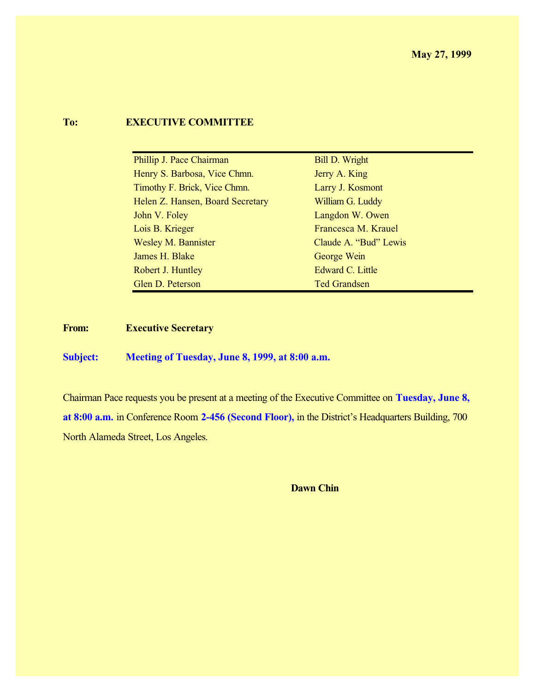## **To: EXECUTIVE COMMITTEE**

| Phillip J. Pace Chairman         | <b>Bill D. Wright</b> |
|----------------------------------|-----------------------|
| Henry S. Barbosa, Vice Chmn.     | Jerry A. King         |
| Timothy F. Brick, Vice Chmn.     | Larry J. Kosmont      |
| Helen Z. Hansen, Board Secretary | William G. Luddy      |
| John V. Foley                    | Langdon W. Owen       |
| Lois B. Krieger                  | Francesca M. Krauel   |
| <b>Wesley M. Bannister</b>       | Claude A. "Bud" Lewis |
| James H. Blake                   | George Wein           |
| Robert J. Huntley                | Edward C. Little      |
| Glen D. Peterson                 | <b>Ted Grandsen</b>   |

**From: Executive Secretary**

**Subject: Meeting of Tuesday, June 8, 1999, at 8:00 a.m.**

Chairman Pace requests you be present at a meeting of the Executive Committee on **Tuesday, June 8, at 8:00 a.m.** in Conference Room **2-456 (Second Floor),** in the District's Headquarters Building, 700 North Alameda Street, Los Angeles.

**Dawn Chin**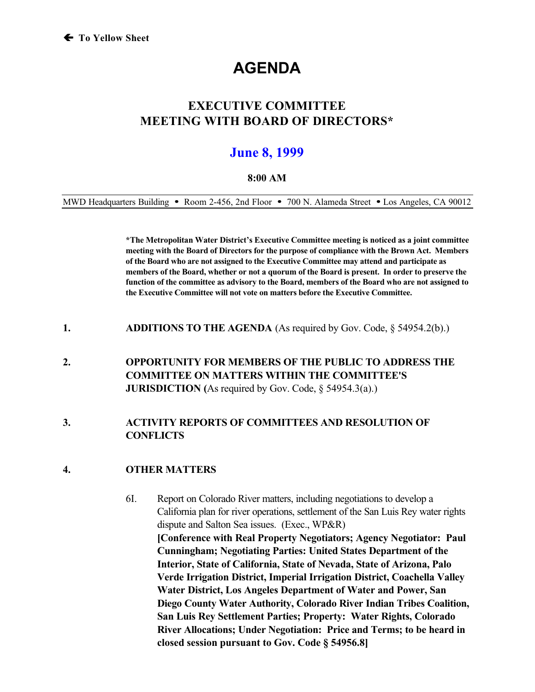# **AGENDA**

# **EXECUTIVE COMMITTEE MEETING WITH BOARD OF DIRECTORS\***

# **June 8, 1999**

#### **8:00 AM**

MWD Headquarters Building • Room 2-456, 2nd Floor • 700 N. Alameda Street • Los Angeles, CA 90012

**\*The Metropolitan Water District's Executive Committee meeting is noticed as a joint committee meeting with the Board of Directors for the purpose of compliance with the Brown Act. Members of the Board who are not assigned to the Executive Committee may attend and participate as members of the Board, whether or not a quorum of the Board is present. In order to preserve the function of the committee as advisory to the Board, members of the Board who are not assigned to the Executive Committee will not vote on matters before the Executive Committee.**

- **1. ADDITIONS TO THE AGENDA** (As required by Gov. Code, § 54954.2(b).)
- **2. OPPORTUNITY FOR MEMBERS OF THE PUBLIC TO ADDRESS THE COMMITTEE ON MATTERS WITHIN THE COMMITTEE'S JURISDICTION** (As required by Gov. Code, § 54954.3(a).)

### **3. ACTIVITY REPORTS OF COMMITTEES AND RESOLUTION OF CONFLICTS**

#### **4. OTHER MATTERS**

6I. Report on Colorado River matters, including negotiations to develop a California plan for river operations, settlement of the San Luis Rey water rights dispute and Salton Sea issues. (Exec., WP&R) **[Conference with Real Property Negotiators; Agency Negotiator: Paul Cunningham; Negotiating Parties: United States Department of the Interior, State of California, State of Nevada, State of Arizona, Palo Verde Irrigation District, Imperial Irrigation District, Coachella Valley Water District, Los Angeles Department of Water and Power, San Diego County Water Authority, Colorado River Indian Tribes Coalition, San Luis Rey Settlement Parties; Property: Water Rights, Colorado River Allocations; Under Negotiation: Price and Terms; to be heard in closed session pursuant to Gov. Code § 54956.8]**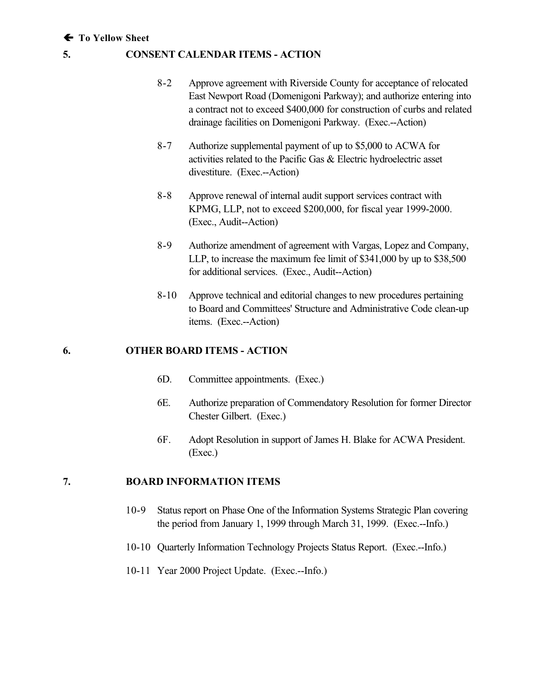#### **! To Yellow Sheet**

#### **5. CONSENT CALENDAR ITEMS - ACTION**

- 8-2 Approve agreement with Riverside County for acceptance of relocated East Newport Road (Domenigoni Parkway); and authorize entering into a contract not to exceed \$400,000 for construction of curbs and related drainage facilities on Domenigoni Parkway. (Exec.--Action)
- 8-7 Authorize supplemental payment of up to \$5,000 to ACWA for activities related to the Pacific Gas & Electric hydroelectric asset divestiture. (Exec.--Action)
- 8-8 Approve renewal of internal audit support services contract with KPMG, LLP, not to exceed \$200,000, for fiscal year 1999-2000. (Exec., Audit--Action)
- 8-9 Authorize amendment of agreement with Vargas, Lopez and Company, LLP, to increase the maximum fee limit of \$341,000 by up to \$38,500 for additional services. (Exec., Audit--Action)
- 8-10 Approve technical and editorial changes to new procedures pertaining to Board and Committees' Structure and Administrative Code clean-up items. (Exec.--Action)

#### **6. OTHER BOARD ITEMS - ACTION**

- 6D. Committee appointments. (Exec.)
- 6E. Authorize preparation of Commendatory Resolution for former Director Chester Gilbert. (Exec.)
- 6F. Adopt Resolution in support of James H. Blake for ACWA President. (Exec.)

#### **7. BOARD INFORMATION ITEMS**

- 10-9 Status report on Phase One of the Information Systems Strategic Plan covering the period from January 1, 1999 through March 31, 1999. (Exec.--Info.)
- 10-10 Quarterly Information Technology Projects Status Report. (Exec.--Info.)
- 10-11 Year 2000 Project Update. (Exec.--Info.)